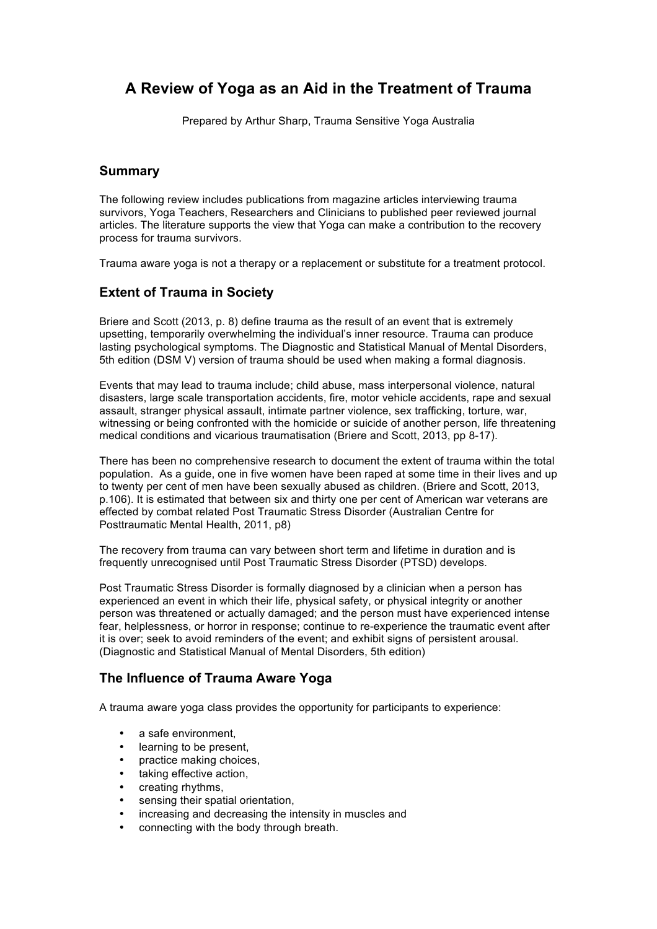# **A Review of Yoga as an Aid in the Treatment of Trauma**

Prepared by Arthur Sharp, Trauma Sensitive Yoga Australia

### **Summary**

The following review includes publications from magazine articles interviewing trauma survivors, Yoga Teachers, Researchers and Clinicians to published peer reviewed journal articles. The literature supports the view that Yoga can make a contribution to the recovery process for trauma survivors.

Trauma aware yoga is not a therapy or a replacement or substitute for a treatment protocol.

## **Extent of Trauma in Society**

Briere and Scott (2013, p. 8) define trauma as the result of an event that is extremely upsetting, temporarily overwhelming the individual's inner resource. Trauma can produce lasting psychological symptoms. The Diagnostic and Statistical Manual of Mental Disorders, 5th edition (DSM V) version of trauma should be used when making a formal diagnosis.

Events that may lead to trauma include; child abuse, mass interpersonal violence, natural disasters, large scale transportation accidents, fire, motor vehicle accidents, rape and sexual assault, stranger physical assault, intimate partner violence, sex trafficking, torture, war, witnessing or being confronted with the homicide or suicide of another person, life threatening medical conditions and vicarious traumatisation (Briere and Scott, 2013, pp 8-17).

There has been no comprehensive research to document the extent of trauma within the total population. As a guide, one in five women have been raped at some time in their lives and up to twenty per cent of men have been sexually abused as children. (Briere and Scott, 2013, p.106). It is estimated that between six and thirty one per cent of American war veterans are effected by combat related Post Traumatic Stress Disorder (Australian Centre for Posttraumatic Mental Health, 2011, p8)

The recovery from trauma can vary between short term and lifetime in duration and is frequently unrecognised until Post Traumatic Stress Disorder (PTSD) develops.

Post Traumatic Stress Disorder is formally diagnosed by a clinician when a person has experienced an event in which their life, physical safety, or physical integrity or another person was threatened or actually damaged; and the person must have experienced intense fear, helplessness, or horror in response; continue to re-experience the traumatic event after it is over; seek to avoid reminders of the event; and exhibit signs of persistent arousal. (Diagnostic and Statistical Manual of Mental Disorders, 5th edition)

### **The Influence of Trauma Aware Yoga**

A trauma aware yoga class provides the opportunity for participants to experience:

- a safe environment.
- learning to be present.
- practice making choices,
- taking effective action,
- creating rhythms,
- sensing their spatial orientation,
- increasing and decreasing the intensity in muscles and
- connecting with the body through breath.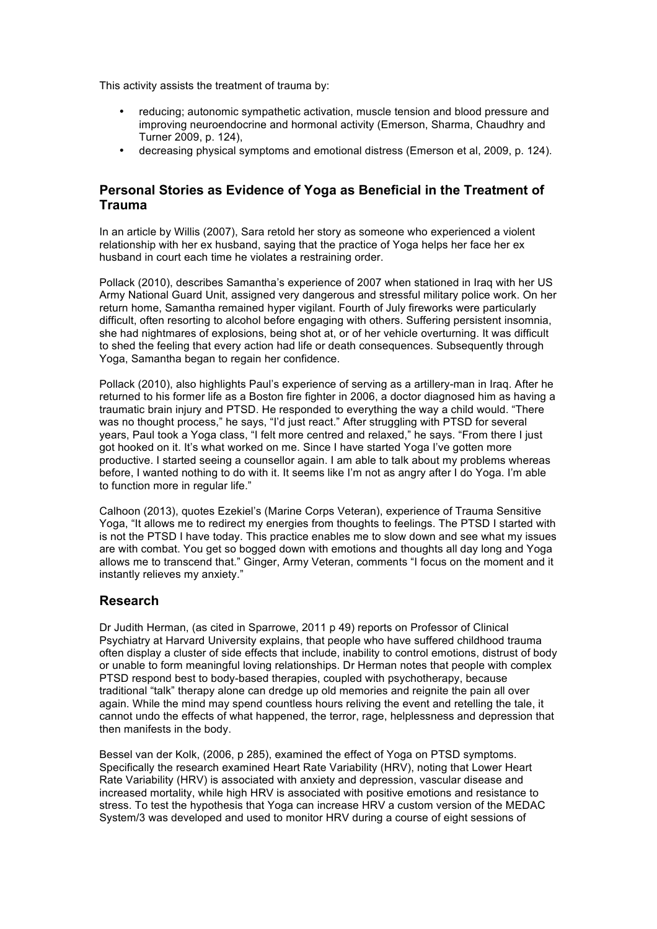This activity assists the treatment of trauma by:

- reducing; autonomic sympathetic activation, muscle tension and blood pressure and improving neuroendocrine and hormonal activity (Emerson, Sharma, Chaudhry and Turner 2009, p. 124),
- decreasing physical symptoms and emotional distress (Emerson et al, 2009, p. 124).

# **Personal Stories as Evidence of Yoga as Beneficial in the Treatment of Trauma**

In an article by Willis (2007), Sara retold her story as someone who experienced a violent relationship with her ex husband, saying that the practice of Yoga helps her face her ex husband in court each time he violates a restraining order.

Pollack (2010), describes Samantha's experience of 2007 when stationed in Iraq with her US Army National Guard Unit, assigned very dangerous and stressful military police work. On her return home, Samantha remained hyper vigilant. Fourth of July fireworks were particularly difficult, often resorting to alcohol before engaging with others. Suffering persistent insomnia, she had nightmares of explosions, being shot at, or of her vehicle overturning. It was difficult to shed the feeling that every action had life or death consequences. Subsequently through Yoga, Samantha began to regain her confidence.

Pollack (2010), also highlights Paul's experience of serving as a artillery-man in Iraq. After he returned to his former life as a Boston fire fighter in 2006, a doctor diagnosed him as having a traumatic brain injury and PTSD. He responded to everything the way a child would. "There was no thought process," he says, "I'd just react." After struggling with PTSD for several years, Paul took a Yoga class, "I felt more centred and relaxed," he says. "From there I just got hooked on it. It's what worked on me. Since I have started Yoga I've gotten more productive. I started seeing a counsellor again. I am able to talk about my problems whereas before, I wanted nothing to do with it. It seems like I'm not as angry after I do Yoga. I'm able to function more in regular life."

Calhoon (2013), quotes Ezekiel's (Marine Corps Veteran), experience of Trauma Sensitive Yoga, "It allows me to redirect my energies from thoughts to feelings. The PTSD I started with is not the PTSD I have today. This practice enables me to slow down and see what my issues are with combat. You get so bogged down with emotions and thoughts all day long and Yoga allows me to transcend that." Ginger, Army Veteran, comments "I focus on the moment and it instantly relieves my anxiety."

### **Research**

Dr Judith Herman, (as cited in Sparrowe, 2011 p 49) reports on Professor of Clinical Psychiatry at Harvard University explains, that people who have suffered childhood trauma often display a cluster of side effects that include, inability to control emotions, distrust of body or unable to form meaningful loving relationships. Dr Herman notes that people with complex PTSD respond best to body-based therapies, coupled with psychotherapy, because traditional "talk" therapy alone can dredge up old memories and reignite the pain all over again. While the mind may spend countless hours reliving the event and retelling the tale, it cannot undo the effects of what happened, the terror, rage, helplessness and depression that then manifests in the body.

Bessel van der Kolk, (2006, p 285), examined the effect of Yoga on PTSD symptoms. Specifically the research examined Heart Rate Variability (HRV), noting that Lower Heart Rate Variability (HRV) is associated with anxiety and depression, vascular disease and increased mortality, while high HRV is associated with positive emotions and resistance to stress. To test the hypothesis that Yoga can increase HRV a custom version of the MEDAC System/3 was developed and used to monitor HRV during a course of eight sessions of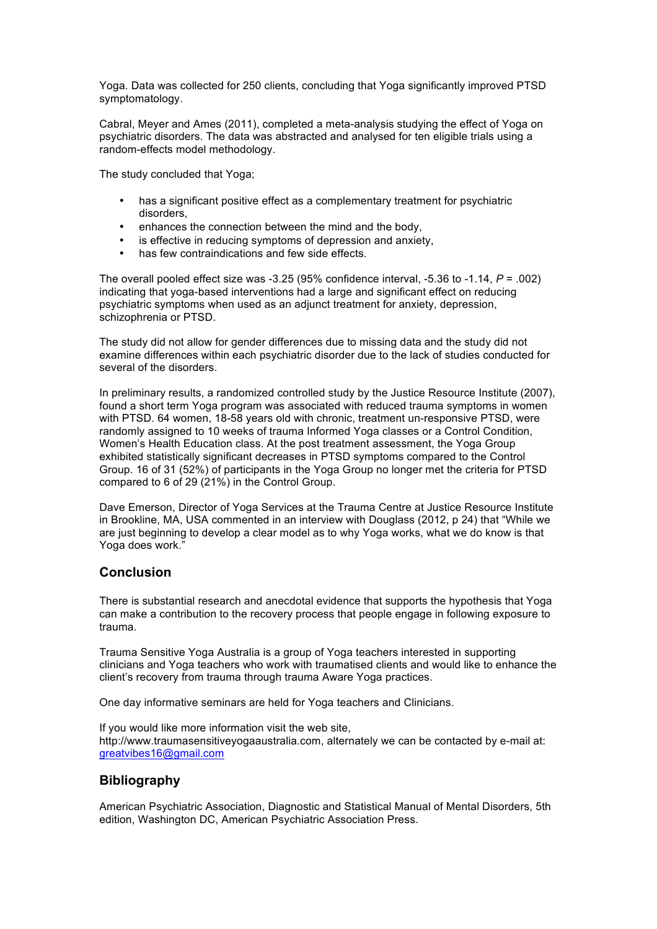Yoga. Data was collected for 250 clients, concluding that Yoga significantly improved PTSD symptomatology.

Cabral, Meyer and Ames (2011), completed a meta-analysis studying the effect of Yoga on psychiatric disorders. The data was abstracted and analysed for ten eligible trials using a random-effects model methodology.

The study concluded that Yoga;

- has a significant positive effect as a complementary treatment for psychiatric disorders,
- enhances the connection between the mind and the body,
- is effective in reducing symptoms of depression and anxiety,
- has few contraindications and few side effects.

The overall pooled effect size was -3.25 (95% confidence interval, -5.36 to -1.14, *P* = .002) indicating that yoga-based interventions had a large and significant effect on reducing psychiatric symptoms when used as an adjunct treatment for anxiety, depression, schizophrenia or PTSD.

The study did not allow for gender differences due to missing data and the study did not examine differences within each psychiatric disorder due to the lack of studies conducted for several of the disorders.

In preliminary results, a randomized controlled study by the Justice Resource Institute (2007), found a short term Yoga program was associated with reduced trauma symptoms in women with PTSD. 64 women, 18-58 years old with chronic, treatment un-responsive PTSD, were randomly assigned to 10 weeks of trauma Informed Yoga classes or a Control Condition, Women's Health Education class. At the post treatment assessment, the Yoga Group exhibited statistically significant decreases in PTSD symptoms compared to the Control Group. 16 of 31 (52%) of participants in the Yoga Group no longer met the criteria for PTSD compared to 6 of 29 (21%) in the Control Group.

Dave Emerson, Director of Yoga Services at the Trauma Centre at Justice Resource Institute in Brookline, MA, USA commented in an interview with Douglass (2012, p 24) that "While we are just beginning to develop a clear model as to why Yoga works, what we do know is that Yoga does work.'

# **Conclusion**

There is substantial research and anecdotal evidence that supports the hypothesis that Yoga can make a contribution to the recovery process that people engage in following exposure to trauma.

Trauma Sensitive Yoga Australia is a group of Yoga teachers interested in supporting clinicians and Yoga teachers who work with traumatised clients and would like to enhance the client's recovery from trauma through trauma Aware Yoga practices.

One day informative seminars are held for Yoga teachers and Clinicians.

If you would like more information visit the web site, http://www.traumasensitiveyogaaustralia.com, alternately we can be contacted by e-mail at: greatvibes16@gmail.com

# **Bibliography**

American Psychiatric Association, Diagnostic and Statistical Manual of Mental Disorders, 5th edition, Washington DC, American Psychiatric Association Press.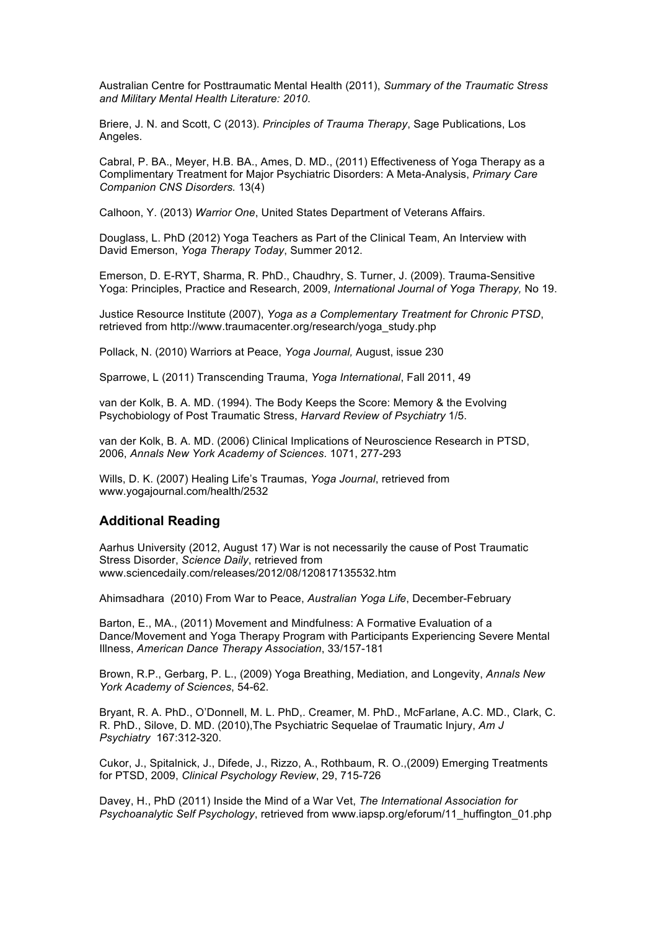Australian Centre for Posttraumatic Mental Health (2011), *Summary of the Traumatic Stress and Military Mental Health Literature: 2010*.

Briere, J. N. and Scott, C (2013). *Principles of Trauma Therapy*, Sage Publications, Los Angeles.

Cabral, P. BA., Meyer, H.B. BA., Ames, D. MD., (2011) Effectiveness of Yoga Therapy as a Complimentary Treatment for Major Psychiatric Disorders: A Meta-Analysis, *Primary Care Companion CNS Disorders.* 13(4)

Calhoon, Y. (2013) *Warrior One*, United States Department of Veterans Affairs.

Douglass, L. PhD (2012) Yoga Teachers as Part of the Clinical Team, An Interview with David Emerson, *Yoga Therapy Today*, Summer 2012.

Emerson, D. E-RYT, Sharma, R. PhD., Chaudhry, S. Turner, J. (2009). Trauma-Sensitive Yoga: Principles, Practice and Research, 2009, *International Journal of Yoga Therapy,* No 19.

Justice Resource Institute (2007), *Yoga as a Complementary Treatment for Chronic PTSD*, retrieved from http://www.traumacenter.org/research/yoga\_study.php

Pollack, N. (2010) Warriors at Peace, *Yoga Journal,* August, issue 230

Sparrowe, L (2011) Transcending Trauma, *Yoga International*, Fall 2011, 49

van der Kolk, B. A. MD. (1994). The Body Keeps the Score: Memory & the Evolving Psychobiology of Post Traumatic Stress, *Harvard Review of Psychiatry* 1/5.

van der Kolk, B. A. MD. (2006) Clinical Implications of Neuroscience Research in PTSD, 2006, *Annals New York Academy of Sciences.* 1071, 277-293

Wills, D. K. (2007) Healing Life's Traumas, *Yoga Journal*, retrieved from www.yogajournal.com/health/2532

#### **Additional Reading**

Aarhus University (2012, August 17) War is not necessarily the cause of Post Traumatic Stress Disorder, *Science Daily*, retrieved from www.sciencedaily.com/releases/2012/08/120817135532.htm

Ahimsadhara (2010) From War to Peace, *Australian Yoga Life*, December-February

Barton, E., MA., (2011) Movement and Mindfulness: A Formative Evaluation of a Dance/Movement and Yoga Therapy Program with Participants Experiencing Severe Mental Illness, *American Dance Therapy Association*, 33/157-181

Brown, R.P., Gerbarg, P. L., (2009) Yoga Breathing, Mediation, and Longevity, *Annals New York Academy of Sciences*, 54-62.

Bryant, R. A. PhD., O'Donnell, M. L. PhD,. Creamer, M. PhD., McFarlane, A.C. MD., Clark, C. R. PhD., Silove, D. MD. (2010),The Psychiatric Sequelae of Traumatic Injury, *Am J Psychiatry* 167:312-320.

Cukor, J., Spitalnick, J., Difede, J., Rizzo, A., Rothbaum, R. O.,(2009) Emerging Treatments for PTSD, 2009, *Clinical Psychology Review*, 29, 715-726

Davey, H., PhD (2011) Inside the Mind of a War Vet, *The International Association for Psychoanalytic Self Psychology*, retrieved from www.iapsp.org/eforum/11\_huffington\_01.php